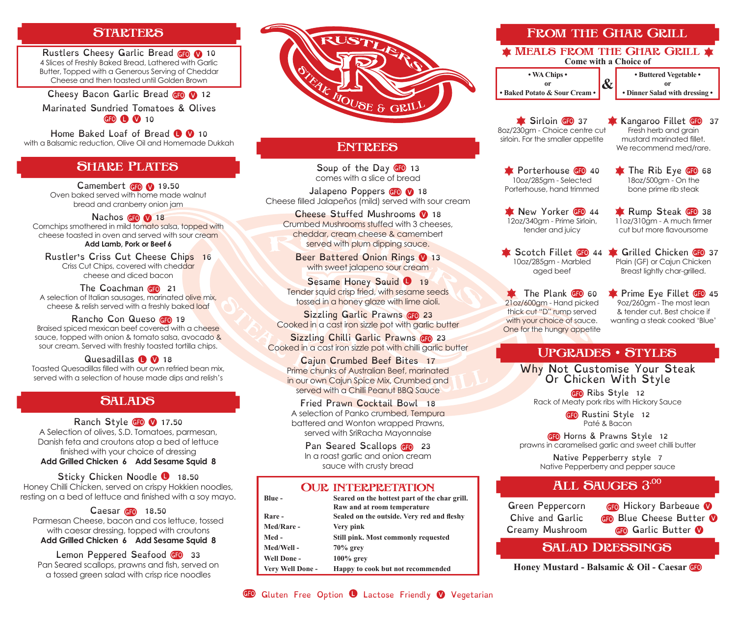#### **STARTERS**

Rustlers Cheesy Garlic Bread **(10 M** 10 4 Slices of Freshly Baked Bread, Lathered with Garlic Butter, Topped with a Generous Serving of Cheddar Cheese and then toasted until Golden Brown

Cheesy Bacon Garlic Bread **60 M** 12

Marinated Sundried Tomatoes & Olives  $60$   $\bullet$   $\bullet$  10

Home Baked Loaf of Bread <sup>1</sup> 10 with a Balsamic reduction, Olive Oil and Homemade Dukkah

### SHARE PLATES

Camembert  $60$   $\Omega$  19.50 Oven baked served with home made walnut bread and cranberry onion jam

Nachos **GFO** 18 Cornchips smothered in mild tomato salsa, topped with cheese toasted in oven and served with sour cream **Add Lamb, Pork or Beef 6**

Rustler's Criss Cut Cheese Chips 16 Criss Cut Chips, covered with cheddar cheese and diced bacon

The Coachman GFO 21 A selection of Italian sausages, marinated olive mix, cheese & relish served with a freshly baked loaf

Rancho Con Queso (Fo 19 Braised spiced mexican beef covered with a cheese sauce, topped with onion & tomato salsa, avocado & sour cream. Served with freshly toasted tortilla chips.

Quesadillas  $\bigcirc$   $\bigcirc$  18

Toasted Quesadillas filled with our own refried bean mix, served with a selection of house made dips and relish's

### **SALADS**

Ranch Style  $60$   $\sqrt{0}$  17.50 A Selection of olives, S.D. Tomatoes, parmesan, Danish feta and croutons atop a bed of lettuce finished with your choice of dressing **Add Grilled Chicken 6 Add Sesame Squid 8**

Sticky Chicken Noodle <sup>0</sup> 18.50 Honey Chilli Chicken, served on crispy Hokkien noodles, resting on a bed of lettuce and finished with a soy mayo.

Caesar  $60$  18.50 Parmesan Cheese, bacon and cos lettuce, tossed with caesar dressing, topped with croutons **Add Grilled Chicken 6 Add Sesame Squid 8**

Lemon Peppered Seafood GD 33 Pan Seared scallops, prawns and fish, served on a tossed green salad with crisp rice noodles



# **ENTREES**

Soup of the Day GFO 13 comes with a slice of bread

Jalapeno Poppers **(Fig. 18)** 18 Cheese filled Jalapeños (mild) served with sour cream

Cheese Stuffed Mushrooms <sup>18</sup> Crumbed Mushrooms stuffed with 3 cheeses, cheddar, cream cheese & camembert served with plum dipping sauce.

Beer Battered Onion Rings 13 with sweet jalapeno sour cream

Sesame Honey Squid <sup>0</sup> 19 Tender squid crisp fried, with sesame seeds tossed in a honey glaze with lime aioli.

**Sizzling Garlic Prawns GFO 23** Cooked in a cast iron sizzle pot with garlic butter

Sizzling Chilli Garlic Prawns GO 23 Cooked in a cast iron sizzle pot with chilli garlic butter

Cajun Crumbed Beef Bites 17 Prime chunks of Australian Beef, marinated in our own Cajun Spice Mix, Crumbed and served with a Chilli Peanut BBQ Sauce

Fried Prawn Cocktail Bowl 18 A selection of Panko crumbed, Tempura battered and Wonton wrapped Prawns, served with SriRacha Mayonnaise

Pan Seared Scallops **60** 23 In a roast garlic and onion cream sauce with crusty bread

#### Our interpretation

| Blue -             | Seared on the hottest part of the char grill. |
|--------------------|-----------------------------------------------|
|                    | Raw and at room temperature                   |
| Rare -             | Sealed on the outside. Very red and fleshy    |
| Med/Rare -         | Very pink                                     |
| Med -              | <b>Still pink. Most commonly requested</b>    |
| Med/Well -         | $70\%$ grey                                   |
| <b>Well Done -</b> | $100\%$ grey                                  |
| Very Well Done -   | Happy to cook but not recommended             |

# FROM THE GHAR GRILL

#### **MEALS FROM THE GHAR GRILL \* Come with a Choice of**

**• WA Chips • or • Baked Potato & Sour Cream • & • Buttered Vegetable • or • Dinner Salad with dressing •**

Sirloin GFO 37 8oz/230gm - Choice centre cut sirloin. For the smaller appetite

**Kangaroo Fillet GFO** 37 Fresh herb and grain mustard marinated fillet. We recommend med/rare.

 $\bullet$  Porterhouse  $\bullet$  40 10oz/285gm - Selected Porterhouse, hand trimmed The Rib Eye GFO 68 18oz/500gm - On the bone prime rib steak

**Rump Steak GFO 38** 11oz/310gm - A much firmer cut but more flavoursome

New Yorker GD 44 12oz/340gm - Prime Sirloin, tender and juicy

10oz/285gm - Marbled aged beef

Scotch Fillet GO 44 **& G**rilled Chicken GO 37 Plain (GF) or Cajun Chicken Breast lightly char-grilled.

The Plank **GFO** 60 21oz/600gm - Hand picked thick cut "D" rump served with your choice of sauce. One for the hungry appetite Prime Eye Fillet **GP** 45 9oz/260gm - The most lean & tender cut. Best choice if wanting a steak cooked 'Blue'

### Upgrades • Styles

Why Not Customise Your Steak Or Chicken With Style

> GFO Ribs Style 12 Rack of Meaty pork ribs with Hickory Sauce

> > GFO Rustini Style 12 Paté & Bacon

GFO Horns & Prawns Style 12 prawns in caramelised garlic and sweet chilli butter

> Native Pepperberry style 7 Native Pepperberry and pepper sauce

# ALL SAUGES 3.00

Creamy Mushroom GPO Garlic Butter

Green Peppercorn **GFO** Hickory Barbeque **O** Chive and Garlic **GP** Blue Cheese Butter **O** 

### SALAD DRESSINGS

**Honey Mustard - Balsamic & Oil - Caesar**